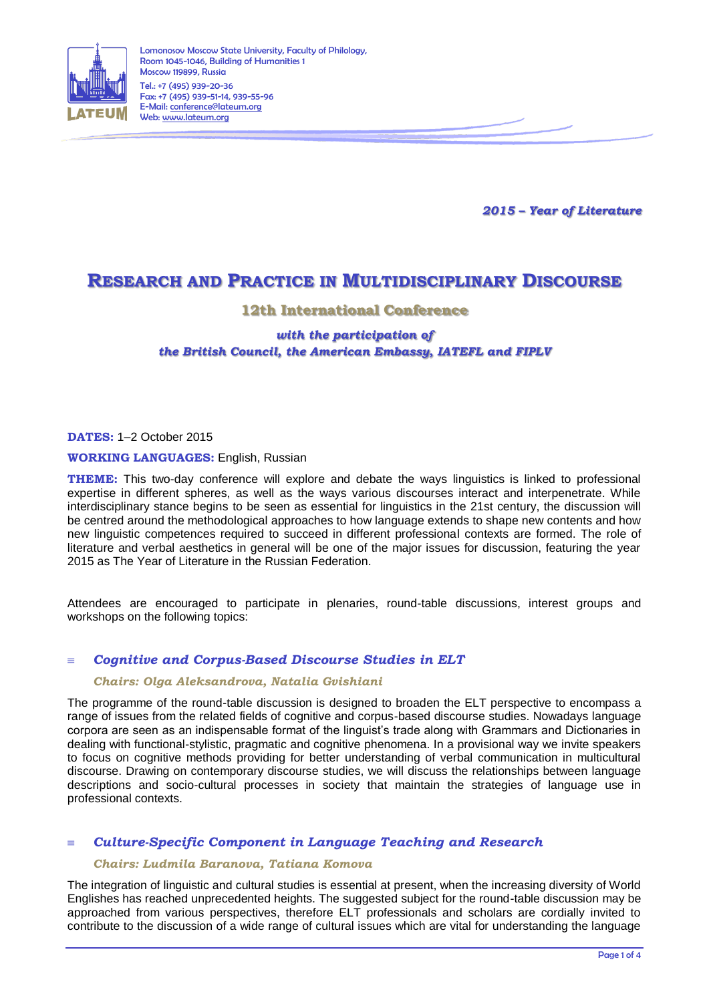

*2015 – Year of Literature*

# **RESEARCH AND PRACTICE IN MULTIDISCIPLINARY DISCOURSE**

# **12th International Conference**

# *with the participation of the British Council, the American Embassy, IATEFL and FIPLV*

**DATES:** 1–2 October 2015

#### **WORKING LANGUAGES:** English, Russian

**THEME:** This two-day conference will explore and debate the ways linguistics is linked to professional expertise in different spheres, as well as the ways various discourses interact and interpenetrate. While interdisciplinary stance begins to be seen as essential for linguistics in the 21st century, the discussion will be centred around the methodological approaches to how language extends to shape new contents and how new linguistic competences required to succeed in different professional contexts are formed. The role of literature and verbal aesthetics in general will be one of the major issues for discussion, featuring the year 2015 as The Year of Literature in the Russian Federation.

Attendees are encouraged to participate in plenaries, round-table discussions, interest groups and workshops on the following topics:

#### *Cognitive and Corpus-Based Discourse Studies in ELT*

#### *Chairs: Olga Aleksandrova, Natalia Gvishiani*

The programme of the round-table discussion is designed to broaden the ELT perspective to encompass a range of issues from the related fields of cognitive and corpus-based discourse studies. Nowadays language corpora are seen as an indispensable format of the linguist's trade along with Grammars and Dictionaries in dealing with functional-stylistic, pragmatic and cognitive phenomena. In a provisional way we invite speakers to focus on cognitive methods providing for better understanding of verbal communication in multicultural discourse. Drawing on contemporary discourse studies, we will discuss the relationships between language descriptions and socio-cultural processes in society that maintain the strategies of language use in professional contexts.

# *Culture-Specific Component in Language Teaching and Research*

#### *Chairs: Ludmila Baranova, Tatiana Komova*

The integration of linguistic and cultural studies is essential at present, when the increasing diversity of World Englishes has reached unprecedented heights. The suggested subject for the round-table discussion may be approached from various perspectives, therefore ELT professionals and scholars are cordially invited to contribute to the discussion of a wide range of cultural issues which are vital for understanding the language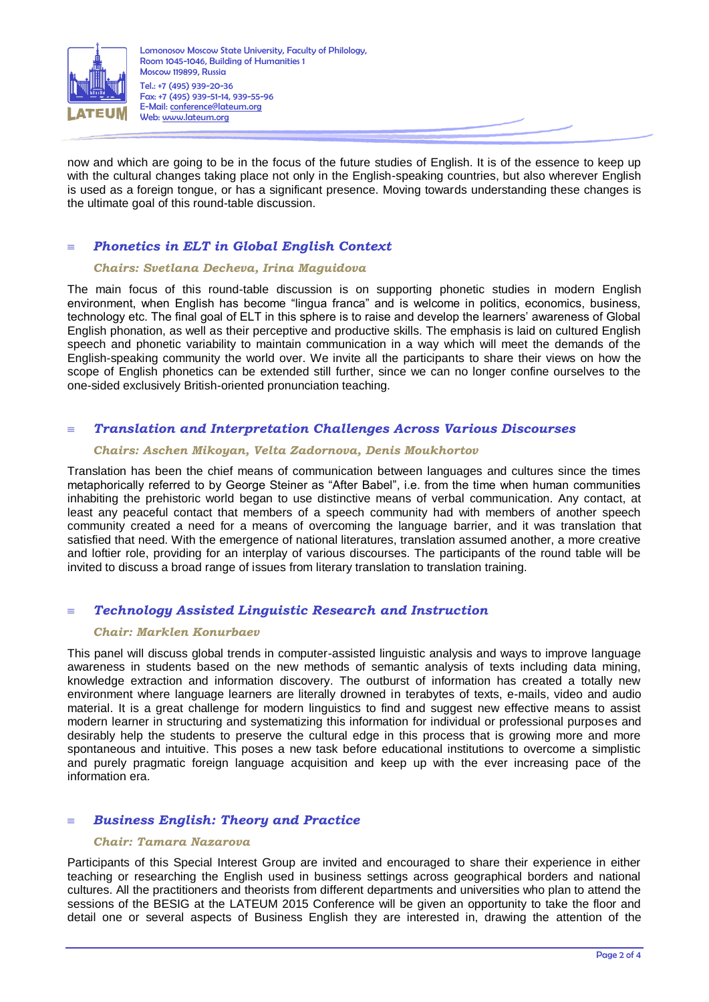

now and which are going to be in the focus of the future studies of English. It is of the essence to keep up with the cultural changes taking place not only in the English-speaking countries, but also wherever English is used as a foreign tongue, or has a significant presence. Moving towards understanding these changes is the ultimate goal of this round-table discussion.

# *Phonetics in ELT in Global English Context*

#### *Chairs: Svetlana Decheva, Irina Maguidova*

The main focus of this round-table discussion is on supporting phonetic studies in modern English environment, when English has become "lingua franca" and is welcome in politics, economics, business, technology etc. The final goal of ELT in this sphere is to raise and develop the learners' awareness of Global English phonation, as well as their perceptive and productive skills. The emphasis is laid on cultured English speech and phonetic variability to maintain communication in a way which will meet the demands of the English-speaking community the world over. We invite all the participants to share their views on how the scope of English phonetics can be extended still further, since we can no longer confine ourselves to the one-sided exclusively British-oriented pronunciation teaching.

### *Translation and Interpretation Challenges Across Various Discourses*

### *Chairs: Aschen Mikoyan, Velta Zadornova, Denis Moukhortov*

Translation has been the chief means of communication between languages and cultures since the times metaphorically referred to by George Steiner as "After Babel", i.e. from the time when human communities inhabiting the prehistoric world began to use distinctive means of verbal communication. Any contact, at least any peaceful contact that members of a speech community had with members of another speech community created a need for a means of overcoming the language barrier, and it was translation that satisfied that need. With the emergence of national literatures, translation assumed another, a more creative and loftier role, providing for an interplay of various discourses. The participants of the round table will be invited to discuss a broad range of issues from literary translation to translation training.

#### *Technology Assisted Linguistic Research and Instruction*

#### *Chair: Marklen Konurbaev*

This panel will discuss global trends in computer-assisted linguistic analysis and ways to improve language awareness in students based on the new methods of semantic analysis of texts including data mining, knowledge extraction and information discovery. The outburst of information has created a totally new environment where language learners are literally drowned in terabytes of texts, e-mails, video and audio material. It is a great challenge for modern linguistics to find and suggest new effective means to assist modern learner in structuring and systematizing this information for individual or professional purposes and desirably help the students to preserve the cultural edge in this process that is growing more and more spontaneous and intuitive. This poses a new task before educational institutions to overcome a simplistic and purely pragmatic foreign language acquisition and keep up with the ever increasing pace of the information era.

# *Business English: Theory and Practice*

#### *Chair: Tamara Nazarova*

Participants of this Special Interest Group are invited and encouraged to share their experience in either teaching or researching the English used in business settings across geographical borders and national cultures. All the practitioners and theorists from different departments and universities who plan to attend the sessions of the BESIG at the LATEUM 2015 Conference will be given an opportunity to take the floor and detail one or several aspects of Business English they are interested in, drawing the attention of the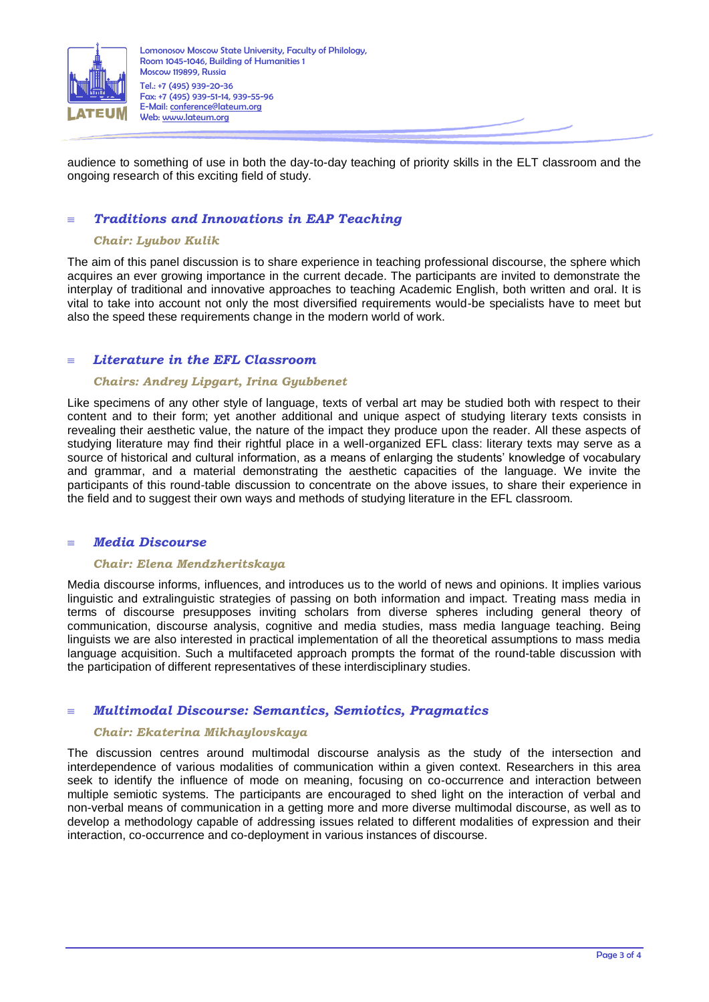

audience to something of use in both the day-to-day teaching of priority skills in the ELT classroom and the ongoing research of this exciting field of study.

# *Traditions and Innovations in EAP Teaching*

### *Chair: Lyubov Kulik*

The aim of this panel discussion is to share experience in teaching professional discourse, the sphere which acquires an ever growing importance in the current decade. The participants are invited to demonstrate the interplay of traditional and innovative approaches to teaching Academic English, both written and oral. It is vital to take into account not only the most diversified requirements would-be specialists have to meet but also the speed these requirements change in the modern world of work.

# *Literature in the EFL Classroom*

### *Chairs: Andrey Lipgart, Irina Gyubbenet*

Like specimens of any other style of language, texts of verbal art may be studied both with respect to their content and to their form; yet another additional and unique aspect of studying literary texts consists in revealing their aesthetic value, the nature of the impact they produce upon the reader. All these aspects of studying literature may find their rightful place in a well-organized EFL class: literary texts may serve as a source of historical and cultural information, as a means of enlarging the students' knowledge of vocabulary and grammar, and a material demonstrating the aesthetic capacities of the language. We invite the participants of this round-table discussion to concentrate on the above issues, to share their experience in the field and to suggest their own ways and methods of studying literature in the EFL classroom.

# *Media Discourse*

#### *Chair: Elena Mendzheritskaya*

Media discourse informs, influences, and introduces us to the world of news and opinions. It implies various linguistic and extralinguistic strategies of passing on both information and impact. Treating mass media in terms of discourse presupposes inviting scholars from diverse spheres including general theory of communication, discourse analysis, cognitive and media studies, mass media language teaching. Being linguists we are also interested in practical implementation of all the theoretical assumptions to mass media language acquisition. Such a multifaceted approach prompts the format of the round-table discussion with the participation of different representatives of these interdisciplinary studies.

# *Multimodal Discourse: Semantics, Semiotics, Pragmatics*

#### *Chair: Ekaterina Mikhaylovskaya*

The discussion centres around multimodal discourse analysis as the study of the intersection and interdependence of various modalities of communication within a given context. Researchers in this area seek to identify the influence of mode on meaning, focusing on co-occurrence and interaction between multiple semiotic systems. The participants are encouraged to shed light on the interaction of verbal and non-verbal means of communication in a getting more and more diverse multimodal discourse, as well as to develop a methodology capable of addressing issues related to different modalities of expression and their interaction, co-occurrence and co-deployment in various instances of discourse.